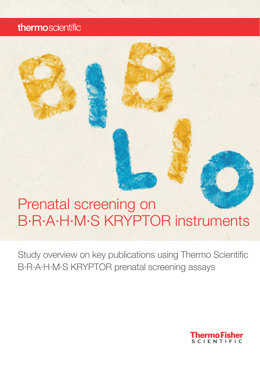## thermoscientific

# Prenatal screening on B·R·A·H·M·S KRYPTOR instruments

Study overview on key publications using Thermo Scientific B·R·A·H·M·S KRYPTOR prenatal screening assays

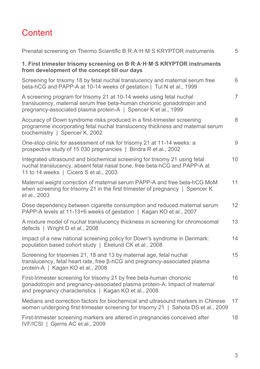## **Content**

| Prenatal screening on Thermo Scientific B·R·A·H·M·S KRYPTOR instruments                                                                                                                                           | 5              |
|-------------------------------------------------------------------------------------------------------------------------------------------------------------------------------------------------------------------|----------------|
| 1. First trimester trisomy screening on B·R·A·H·M·S KRYPTOR instruments<br>from development of the concept till our days                                                                                          |                |
| Screening for trisomy 18 by fetal nuchal translucency and maternal serum free<br>beta-hCG and PAPP-A at 10-14 weeks of gestation   Tul N et al., 1999                                                             | 6              |
| A screening program for trisomy 21 at 10-14 weeks using fetal nuchal<br>translucency, maternal serum free beta-human chorionic gonadotropin and<br>pregnancy-associated plasma protein-A   Spencer K et al., 1999 | $\overline{7}$ |
| Accuracy of Down syndrome risks produced in a first-trimester screening<br>programme incorporating fetal nuchal translucency thickness and maternal serum<br>biochemistry   Spencer K, 2002                       | 8              |
| One-stop clinic for assessment of risk for trisomy 21 at 11-14 weeks: a<br>prospective study of 15 030 pregnancies   Bindra R et al., 2002                                                                        | 9              |
| Integrated ultrasound and biochemical screening for trisomy 21 using fetal<br>nuchal translucency, absent fetal nasal bone, free beta-hCG and PAPP-A at<br>11 to 14 weeks   Cicero S et al., 2003                 | 10             |
| Maternal weight correction of maternal serum PAPP-A and free beta-hCG MoM<br>when screening for trisomy 21 in the first trimester of pregnancy   Spencer K<br>et al., 2003                                        | 11             |
| Dose dependency between cigarette consumption and reduced maternal serum<br>PAPP-A levels at 11-13+6 weeks of gestation   Kagan KO et al., 2007                                                                   | 12             |
| A mixture model of nuchal translucency thickness in screening for chromosomal<br>defects   Wright D et al., 2008                                                                                                  | 13             |
| Impact of a new national screening policy for Down's syndrome in Denmark:<br>population based cohort study   Ekelund CK et al., 2008                                                                              | 14             |
| Screening for trisomies 21, 18 and 13 by maternal age, fetal nuchal<br>translucency, fetal heart rate, free β-hCG and pregnancy-associated plasma<br>protein-A   Kagan KO et al., 2008                            | 15             |
| First-trimester screening for trisomy 21 by free beta-human chorionic<br>gonadotropin and pregnancy-associated plasma protein-A: Impact of maternal<br>and pregnancy characteristics   Kagan KO et al., 2008      | 16             |
| Medians and correction factors for biochemical and ultrasound markers in Chinese<br>women undergoing first-trimester screening for trisomy 21   Sahota DS et al., 2009                                            | 17             |
| First-trimester screening markers are altered in pregnancies conceived after<br>IVF/ICSI   Gjerris AC et al., 2009                                                                                                | 18             |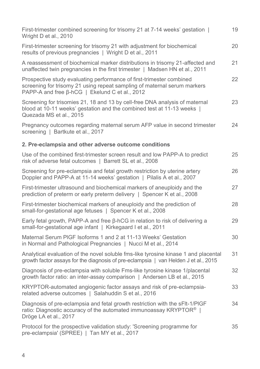| First-trimester combined screening for trisomy 21 at 7-14 weeks' gestation  <br>Wright D et al., 2010                                                                                              | 19 |
|----------------------------------------------------------------------------------------------------------------------------------------------------------------------------------------------------|----|
| First-trimester screening for trisomy 21 with adjustment for biochemical<br>results of previous pregnancies   Wright D et al., 2011                                                                | 20 |
| A reassessment of biochemical marker distributions in trisomy 21-affected and<br>unaffected twin pregnancies in the first trimester   Madsen HN et al., 2011                                       | 21 |
| Prospective study evaluating performance of first-trimester combined<br>screening for trisomy 21 using repeat sampling of maternal serum markers<br>PAPP-A and free β-hCG   Ekelund C et al., 2012 | 22 |
| Screening for trisomies 21, 18 and 13 by cell-free DNA analysis of maternal<br>blood at 10-11 weeks' gestation and the combined test at 11-13 weeks  <br>Quezada MS et al., 2015                   | 23 |
| Pregnancy outcomes regarding maternal serum AFP value in second trimester<br>screening   Bartkute et al., 2017                                                                                     | 24 |
| 2. Pre-eclampsia and other adverse outcome conditions                                                                                                                                              |    |
| Use of the combined first-trimester screen result and low PAPP-A to predict<br>risk of adverse fetal outcomes   Barrett SL et al., 2008                                                            | 25 |
| Screening for pre-eclampsia and fetal growth restriction by uterine artery<br>Doppler and PAPP-A at 11-14 weeks' gestation   Pilalis A et al., 2007                                                | 26 |
| First-trimester ultrasound and biochemical markers of aneuploidy and the<br>prediction of preterm or early preterm delivery   Spencer K et al., 2008                                               | 27 |
| First-trimester biochemical markers of aneuploidy and the prediction of<br>small-for-gestational age fetuses   Spencer K et al., 2008                                                              | 28 |
| Early fetal growth, PAPP-A and free β-hCG in relation to risk of delivering a<br>small-for-gestational age infant   Kirkegaard I et al., 2011                                                      | 29 |
| Maternal Serum PIGF Isoforms 1 and 2 at 11-13 Weeks' Gestation<br>in Normal and Pathological Pregnancies   Nucci M et al., 2014                                                                    | 30 |
| Analytical evaluation of the novel soluble fms-like tyrosine kinase 1 and placental<br>growth factor assays for the diagnosis of pre-eclampsia   van Helden J et al., 2015                         | 31 |
| Diagnosis of pre-eclampsia with soluble Fms-like tyrosine kinase 1/placental<br>growth factor ratio: an inter-assay comparison   Andersen LB et al., 2015                                          | 32 |
| KRYPTOR-automated angiogenic factor assays and risk of pre-eclampsia-<br>related adverse outcomes   Salahuddin S et al., 2016                                                                      | 33 |
| Diagnosis of pre-eclampsia and fetal growth restriction with the sFIt-1/PIGF<br>ratio: Diagnostic accuracy of the automated immunoassay KRYPTOR®  <br>Dröge LA et al., 2017                        | 34 |
| Protocol for the prospective validation study: 'Screening programme for<br>pre-eclampsia' (SPREE)   Tan MY et al., 2017                                                                            | 35 |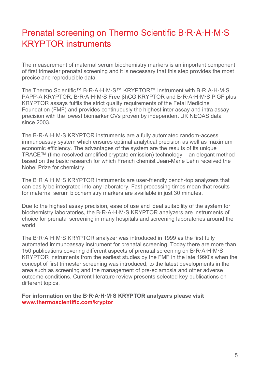## Prenatal screening on Thermo Scientific B·R·A·H·M·S KRYPTOR instruments

The measurement of maternal serum biochemistry markers is an important component of first trimester prenatal screening and it is necessary that this step provides the most precise and reproducible data.

The Thermo Scientific™ B·R·A·H·M·S™ KRYPTOR™ instrument with B·R·A·H·M·S PAPP-A KRYPTOR, B·R·A·H·M·S Free βhCG KRYPTOR and B·R·A·H·M·S PlGF plus KRYPTOR assays fulfils the strict quality requirements of the Fetal Medicine Foundation (FMF) and provides continuously the highest inter assay and intra assay precision with the lowest biomarker CVs proven by independent UK NEQAS data since 2003.

The B·R·A·H·M·S KRYPTOR instruments are a fully automated random-access immunoassay system which ensures optimal analytical precision as well as maximum economic efficiency. The advantages of the system are the results of its unique TRACE™ (time-resolved amplified cryptate emission) technology – an elegant method based on the basic research for which French chemist Jean-Marie Lehn received the Nobel Prize for chemistry.

The B·R·A·H·M·S KRYPTOR instruments are user-friendly bench-top analyzers that can easily be integrated into any laboratory. Fast processing times mean that results for maternal serum biochemistry markers are available in just 30 minutes.

Due to the highest assay precision, ease of use and ideal suitability of the system for biochemistry laboratories, the B·R·A·H·M·S KRYPTOR analyzers are instruments of choice for prenatal screening in many hospitals and screening laboratories around the world.

The B·R·A·H·M·S KRYPTOR analyzer was introduced in 1999 as the first fully automated immunoassay instrument for prenatal screening. Today there are more than 150 publications covering different aspects of prenatal screening on B·R·A·H·M·S KRYPTOR instruments from the earliest studies by the FMF in the late 1990's when the concept of first trimester screening was introduced, to the latest developments in the area such as screening and the management of pre-eclampsia and other adverse outcome conditions. Current literature review presents selected key publications on different topics.

**For information on the B·R·A·H·M·S KRYPTOR analyzers please visit www.thermoscientific.com/kryptor**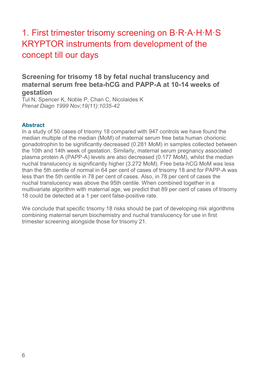## 1. First trimester trisomy screening on B·R·A·H·M·S KRYPTOR instruments from development of the concept till our days

## **Screening for trisomy 18 by fetal nuchal translucency and maternal serum free beta-hCG and PAPP-A at 10-14 weeks of gestation**

Tul N, Spencer K, Noble P, Chan C, Nicolaides K *Prenat Diagn 1999 Nov;19(11):1035-42*

#### **Abstract**

In a study of 50 cases of trisomy 18 compared with 947 controls we have found the median multiple of the median (MoM) of maternal serum free beta human chorionic gonadotrophin to be significantly decreased (0.281 MoM) in samples collected between the 10th and 14th week of gestation. Similarly, maternal serum pregnancy associated plasma protein A (PAPP-A) levels are also decreased (0.177 MoM), whilst the median nuchal translucency is significantly higher (3.272 MoM). Free beta-hCG MoM was less than the 5th centile of normal in 64 per cent of cases of trisomy 18 and for PAPP-A was less than the 5th centile in 78 per cent of cases. Also, in 78 per cent of cases the nuchal translucency was above the 95th centile. When combined together in a multivariate algorithm with maternal age, we predict that 89 per cent of cases of trisomy 18 could be detected at a 1 per cent false-positive rate.

We conclude that specific trisomy 18 risks should be part of developing risk algorithms combining maternal serum biochemistry and nuchal translucency for use in first trimester screening alongside those for trisomy 21.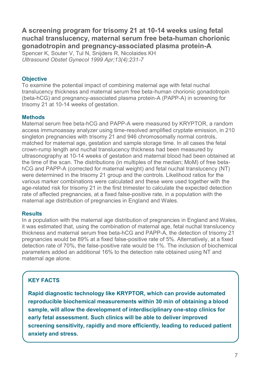**A screening program for trisomy 21 at 10-14 weeks using fetal nuchal translucency, maternal serum free beta-human chorionic gonadotropin and pregnancy-associated plasma protein-A** 

Spencer K, Souter V, Tul N, Snijders R, Nicolaides KH *Ultrasound Obstet Gynecol 1999 Apr;13(4):231-7* 

#### **Objective**

To examine the potential impact of combining maternal age with fetal nuchal translucency thickness and maternal serum free beta-human chorionic gonadotropin (beta-hCG) and pregnancy-associated plasma protein-A (PAPP-A) in screening for trisomy 21 at 10-14 weeks of gestation.

#### **Methods**

Maternal serum free beta-hCG and PAPP-A were measured by KRYPTOR, a random access immunoassay analyzer using time-resolved amplified cryptate emission, in 210 singleton pregnancies with trisomy 21 and 946 chromosomally normal controls, matched for maternal age, gestation and sample storage time. In all cases the fetal crown-rump length and nuchal translucency thickness had been measured by ultrasonography at 10-14 weeks of gestation and maternal blood had been obtained at the time of the scan. The distributions (in multiples of the median; MoM) of free betahCG and PAPP-A (corrected for maternal weight) and fetal nuchal translucency (NT) were determined in the trisomy 21 group and the controls. Likelihood ratios for the various marker combinations were calculated and these were used together with the age-related risk for trisomy 21 in the first trimester to calculate the expected detection rate of affected pregnancies, at a fixed false-positive rate, in a population with the maternal age distribution of pregnancies in England and Wales.

#### **Results**

In a population with the maternal age distribution of pregnancies in England and Wales, it was estimated that, using the combination of maternal age, fetal nuchal translucency thickness and maternal serum free beta-hCG and PAPP-A, the detection of trisomy 21 pregnancies would be 89% at a fixed false-positive rate of 5%. Alternatively, at a fixed detection rate of 70%, the false-positive rate would be 1%. The inclusion of biochemical parameters added an additional 16% to the detection rate obtained using NT and maternal age alone.

## **KEY FACTS**

**Rapid diagnostic technology like KRYPTOR, which can provide automated reproducible biochemical measurements within 30 min of obtaining a blood sample, will allow the development of interdisciplinary one-stop clinics for early fetal assessment. Such clinics will be able to deliver improved screening sensitivity, rapidly and more efficiently, leading to reduced patient anxiety and stress.**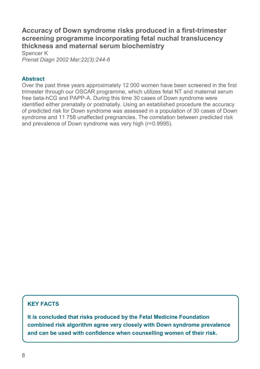## **Accuracy of Down syndrome risks produced in a first-trimester screening programme incorporating fetal nuchal translucency thickness and maternal serum biochemistry**

Spencer K *Prenat Diagn 2002 Mar;22(3):244-6* 

#### **Abstract**

Over the past three years approximately 12 000 women have been screened in the first trimester through our OSCAR programme, which utilizes fetal NT and maternal serum free beta-hCG and PAPP-A. During this time 30 cases of Down syndrome were identified either prenatally or postnatally. Using an established procedure the accuracy of predicted risk for Down syndrome was assessed in a population of 30 cases of Down syndrome and 11 758 unaffected pregnancies. The correlation between predicted risk and prevalence of Down syndrome was very high (r=0.9995).

### **KEY FACTS**

**It is concluded that risks produced by the Fetal Medicine Foundation combined risk algorithm agree very closely with Down syndrome prevalence and can be used with confidence when counselling women of their risk.**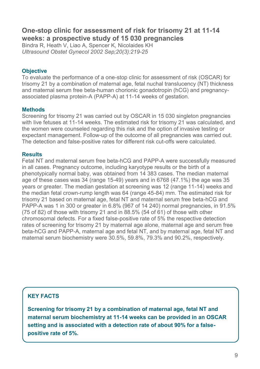## **One-stop clinic for assessment of risk for trisomy 21 at 11-14 weeks: a prospective study of 15 030 pregnancies**

Bindra R, Heath V, Liao A, Spencer K, Nicolaides KH *Ultrasound Obstet Gynecol 2002 Sep;20(3):219-25*

#### **Objective**

To evaluate the performance of a one-stop clinic for assessment of risk (OSCAR) for trisomy 21 by a combination of maternal age, fetal nuchal translucency (NT) thickness and maternal serum free beta-human chorionic gonadotropin (hCG) and pregnancyassociated plasma protein-A (PAPP-A) at 11-14 weeks of gestation.

#### **Methods**

Screening for trisomy 21 was carried out by OSCAR in 15 030 singleton pregnancies with live fetuses at 11-14 weeks. The estimated risk for trisomy 21 was calculated, and the women were counseled regarding this risk and the option of invasive testing or expectant management. Follow-up of the outcome of all pregnancies was carried out. The detection and false-positive rates for different risk cut-offs were calculated.

#### **Results**

Fetal NT and maternal serum free beta-hCG and PAPP-A were successfully measured in all cases. Pregnancy outcome, including karyotype results or the birth of a phenotypically normal baby, was obtained from 14 383 cases. The median maternal age of these cases was 34 (range 15-49) years and in 6768 (47.1%) the age was 35 years or greater. The median gestation at screening was 12 (range 11-14) weeks and the median fetal crown-rump length was 64 (range 45-84) mm. The estimated risk for trisomy 21 based on maternal age, fetal NT and maternal serum free beta-hCG and PAPP-A was 1 in 300 or greater in 6.8% (967 of 14 240) normal pregnancies, in 91.5% (75 of 82) of those with trisomy 21 and in 88.5% (54 of 61) of those with other chromosomal defects. For a fixed false-positive rate of 5% the respective detection rates of screening for trisomy 21 by maternal age alone, maternal age and serum free beta-hCG and PAPP-A, maternal age and fetal NT, and by maternal age, fetal NT and maternal serum biochemistry were 30.5%, 59.8%, 79.3% and 90.2%, respectively.

## **KEY FACTS**

**Screening for trisomy 21 by a combination of maternal age, fetal NT and maternal serum biochemistry at 11-14 weeks can be provided in an OSCAR setting and is associated with a detection rate of about 90% for a falsepositive rate of 5%.**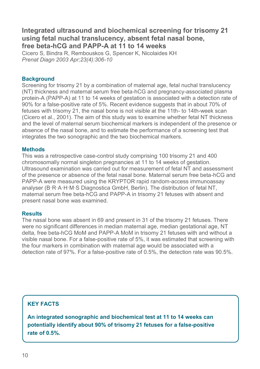## **Integrated ultrasound and biochemical screening for trisomy 21 using fetal nuchal translucency, absent fetal nasal bone, free beta-hCG and PAPP-A at 11 to 14 weeks**

Cicero S, Bindra R, Rembouskos G, Spencer K, Nicolaides KH *Prenat Diagn 2003 Apr;23(4):306-10*

#### **Background**

Screening for trisomy 21 by a combination of maternal age, fetal nuchal translucency (NT) thickness and maternal serum free beta-hCG and pregnancy-associated plasma protein-A (PAPP-A) at 11 to 14 weeks of gestation is associated with a detection rate of 90% for a false-positive rate of 5%. Recent evidence suggests that in about 70% of fetuses with trisomy 21, the nasal bone is not visible at the 11th- to 14th-week scan (Cicero et al., 2001). The aim of this study was to examine whether fetal NT thickness and the level of maternal serum biochemical markers is independent of the presence or absence of the nasal bone, and to estimate the performance of a screening test that integrates the two sonographic and the two biochemical markers.

#### **Methods**

This was a retrospective case-control study comprising 100 trisomy 21 and 400 chromosomally normal singleton pregnancies at 11 to 14 weeks of gestation. Ultrasound examination was carried out for measurement of fetal NT and assessment of the presence or absence of the fetal nasal bone. Maternal serum free beta-hCG and PAPP-A were measured using the KRYPTOR rapid random-access immunoassay analyser (B·R·A·H·M·S Diagnostica GmbH, Berlin). The distribution of fetal NT, maternal serum free beta-hCG and PAPP-A in trisomy 21 fetuses with absent and present nasal bone was examined.

#### **Results**

The nasal bone was absent in 69 and present in 31 of the trisomy 21 fetuses. There were no significant differences in median maternal age, median gestational age, NT delta, free beta-hCG MoM and PAPP-A MoM in trisomy 21 fetuses with and without a visible nasal bone. For a false-positive rate of 5%, it was estimated that screening with the four markers in combination with maternal age would be associated with a detection rate of 97%. For a false-positive rate of 0.5%, the detection rate was 90.5%.

## **KEY FACTS**

**An integrated sonographic and biochemical test at 11 to 14 weeks can potentially identify about 90% of trisomy 21 fetuses for a false-positive rate of 0.5%.**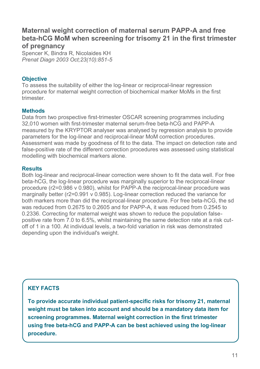## **Maternal weight correction of maternal serum PAPP-A and free beta-hCG MoM when screening for trisomy 21 in the first trimester of pregnancy**

Spencer K, Bindra R, Nicolaides KH *Prenat Diagn 2003 Oct;23(10):851-5* 

#### **Objective**

To assess the suitability of either the log-linear or reciprocal-linear regression procedure for maternal weight correction of biochemical marker MoMs in the first trimester.

#### **Methods**

Data from two prospective first-trimester OSCAR screening programmes including 32,010 women with first-trimester maternal serum-free beta-hCG and PAPP-A measured by the KRYPTOR analyser was analysed by regression analysis to provide parameters for the log-linear and reciprocal-linear MoM correction procedures. Assessment was made by goodness of fit to the data. The impact on detection rate and false-positive rate of the different correction procedures was assessed using statistical modelling with biochemical markers alone.

#### **Results**

Both log-linear and reciprocal-linear correction were shown to fit the data well. For free beta-hCG, the log-linear procedure was marginally superior to the reciprocal-linear procedure (r2=0.986 v 0.980), whilst for PAPP-A the reciprocal-linear procedure was marginally better (r2=0.991 v 0.985). Log-linear correction reduced the variance for both markers more than did the reciprocal-linear procedure. For free beta-hCG, the sd was reduced from 0.2675 to 0.2605 and for PAPP-A, it was reduced from 0.2545 to 0.2336. Correcting for maternal weight was shown to reduce the population falsepositive rate from 7.0 to 6.5%, whilst maintaining the same detection rate at a risk cutoff of 1 in a 100. At individual levels, a two-fold variation in risk was demonstrated depending upon the individual's weight.

## **KEY FACTS**

**To provide accurate individual patient-specific risks for trisomy 21, maternal weight must be taken into account and should be a mandatory data item for screening programmes. Maternal weight correction in the first trimester using free beta-hCG and PAPP-A can be best achieved using the log-linear procedure.**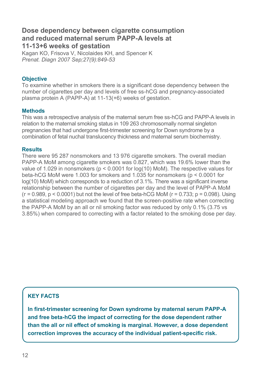## **Dose dependency between cigarette consumption and reduced maternal serum PAPP-A levels at 11-13+6 weeks of gestation**

Kagan KO, Frisova V, Nicolaides KH, and Spencer K *Prenat. Diagn 2007 Sep;27(9):849-53*

#### **Objective**

To examine whether in smokers there is a significant dose dependency between the number of cigarettes per day and levels of free ss-hCG and pregnancy-associated plasma protein A (PAPP-A) at 11-13(+6) weeks of gestation.

#### **Methods**

This was a retrospective analysis of the maternal serum free ss-hCG and PAPP-A levels in relation to the maternal smoking status in 109 263 chromosomally normal singleton pregnancies that had undergone first-trimester screening for Down syndrome by a combination of fetal nuchal translucency thickness and maternal serum biochemistry.

#### **Results**

There were 95 287 nonsmokers and 13 976 cigarette smokers. The overall median PAPP-A MoM among cigarette smokers was 0.827, which was 19.6% lower than the value of 1.029 in nonsmokers (p < 0.0001 for log(10) MoM). The respective values for beta-hCG MoM were 1.003 for smokers and 1.035 for nonsmokers (p < 0.0001 for log(10) MoM) which corresponds to a reduction of 3.1%. There was a significant inverse relationship between the number of cigarettes per day and the level of PAPP-A MoM  $(r = 0.989, p < 0.0001)$  but not the level of free beta-hCG MoM  $(r = 0.733; p = 0.098)$ . Using a statistical modeling approach we found that the screen-positive rate when correcting the PAPP-A MoM by an all or nil smoking factor was reduced by only 0.1% (3.75 vs 3.85%) when compared to correcting with a factor related to the smoking dose per day.

## **KEY FACTS**

**In first-trimester screening for Down syndrome by maternal serum PAPP-A and free beta-hCG the impact of correcting for the dose dependent rather than the all or nil effect of smoking is marginal. However, a dose dependent correction improves the accuracy of the individual patient-specific risk.**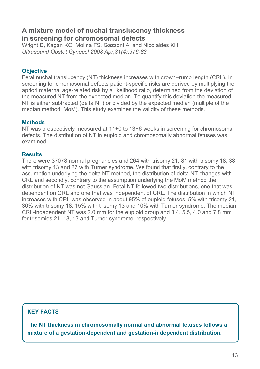## **A mixture model of nuchal translucency thickness in screening for chromosomal defects**

Wright D, Kagan KO, Molina FS, Gazzoni A, and Nicolaides KH *Ultrasound Obstet Gynecol 2008 Apr;31(4):376-83*

#### **Objective**

Fetal nuchal translucency (NT) thickness increases with crown–rump length (CRL). In screening for chromosomal defects patient-specific risks are derived by multiplying the apriori maternal age-related risk by a likelihood ratio, determined from the deviation of the measured NT from the expected median. To quantify this deviation the measured NT is either subtracted (delta NT) or divided by the expected median (multiple of the median method, MoM). This study examines the validity of these methods.

#### **Methods**

NT was prospectively measured at 11+0 to 13+6 weeks in screening for chromosomal defects. The distribution of NT in euploid and chromosomally abnormal fetuses was examined.

#### **Results**

There were 37078 normal pregnancies and 264 with trisomy 21, 81 with trisomy 18, 38 with trisomy 13 and 27 with Turner syndrome. We found that firstly, contrary to the assumption underlying the delta NT method, the distribution of delta NT changes with CRL and secondly, contrary to the assumption underlying the MoM method the distribution of NT was not Gaussian. Fetal NT followed two distributions, one that was dependent on CRL and one that was independent of CRL. The distribution in which NT increases with CRL was observed in about 95% of euploid fetuses, 5% with trisomy 21, 30% with trisomy 18, 15% with trisomy 13 and 10% with Turner syndrome. The median CRL-independent NT was 2.0 mm for the euploid group and 3.4, 5.5, 4.0 and 7.8 mm for trisomies 21, 18, 13 and Turner syndrome, respectively.

### **KEY FACTS**

**The NT thickness in chromosomally normal and abnormal fetuses follows a mixture of a gestation-dependent and gestation-independent distribution.**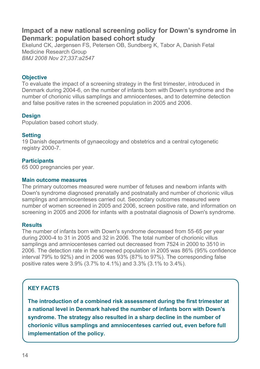## **Impact of a new national screening policy for Down's syndrome in Denmark: population based cohort study**

Ekelund CK, Jørgensen FS, Petersen OB, Sundberg K, Tabor A, Danish Fetal Medicine Research Group *BMJ 2008 Nov 27;337:a2547*

#### **Objective**

To evaluate the impact of a screening strategy in the first trimester, introduced in Denmark during 2004-6, on the number of infants born with Down's syndrome and the number of chorionic villus samplings and amniocenteses, and to determine detection and false positive rates in the screened population in 2005 and 2006.

#### **Design**

Population based cohort study.

#### **Setting**

19 Danish departments of gynaecology and obstetrics and a central cytogenetic registry 2000-7.

#### **Participants**

65 000 pregnancies per year.

#### **Main outcome measures**

The primary outcomes measured were number of fetuses and newborn infants with Down's syndrome diagnosed prenatally and postnatally and number of chorionic villus samplings and amniocenteses carried out. Secondary outcomes measured were number of women screened in 2005 and 2006, screen positive rate, and information on screening in 2005 and 2006 for infants with a postnatal diagnosis of Down's syndrome.

#### **Results**

The number of infants born with Down's syndrome decreased from 55-65 per year during 2000-4 to 31 in 2005 and 32 in 2006. The total number of chorionic villus samplings and amniocenteses carried out decreased from 7524 in 2000 to 3510 in 2006. The detection rate in the screened population in 2005 was 86% (95% confidence interval 79% to 92%) and in 2006 was 93% (87% to 97%). The corresponding false positive rates were 3.9% (3.7% to 4.1%) and 3.3% (3.1% to 3.4%).

### **KEY FACTS**

**The introduction of a combined risk assessment during the first trimester at a national level in Denmark halved the number of infants born with Down's syndrome. The strategy also resulted in a sharp decline in the number of chorionic villus samplings and amniocenteses carried out, even before full implementation of the policy.**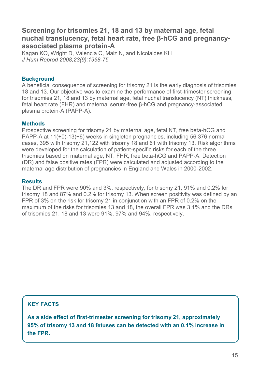## **Screening for trisomies 21, 18 and 13 by maternal age, fetal nuchal translucency, fetal heart rate, free β-hCG and pregnancyassociated plasma protein-A**

Kagan KO, Wright D, Valencia C, Maiz N, and Nicolaides KH *J Hum Reprod 2008;23(9):1968-75*

#### **Background**

A beneficial consequence of screening for trisomy 21 is the early diagnosis of trisomies 18 and 13. Our objective was to examine the performance of first-trimester screening for trisomies 21, 18 and 13 by maternal age, fetal nuchal translucency (NT) thickness, fetal heart rate (FHR) and maternal serum-free β-hCG and pregnancy-associated plasma protein-A (PAPP-A).

#### **Methods**

Prospective screening for trisomy 21 by maternal age, fetal NT, free beta-hCG and PAPP-A at 11(+0)-13(+6) weeks in singleton pregnancies, including 56 376 normal cases, 395 with trisomy 21,122 with trisomy 18 and 61 with trisomy 13. Risk algorithms were developed for the calculation of patient-specific risks for each of the three trisomies based on maternal age, NT, FHR, free beta-hCG and PAPP-A. Detection (DR) and false positive rates (FPR) were calculated and adjusted according to the maternal age distribution of pregnancies in England and Wales in 2000-2002.

#### **Results**

The DR and FPR were 90% and 3%, respectively, for trisomy 21, 91% and 0.2% for trisomy 18 and 87% and 0.2% for trisomy 13. When screen positivity was defined by an FPR of 3% on the risk for trisomy 21 in conjunction with an FPR of 0.2% on the maximum of the risks for trisomies 13 and 18, the overall FPR was 3.1% and the DRs of trisomies 21, 18 and 13 were 91%, 97% and 94%, respectively.

## **KEY FACTS**

**As a side effect of first-trimester screening for trisomy 21, approximately 95% of trisomy 13 and 18 fetuses can be detected with an 0.1% increase in the FPR.**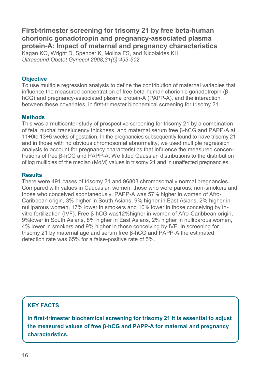**First-trimester screening for trisomy 21 by free beta-human chorionic gonadotropin and pregnancy-associated plasma protein-A: Impact of maternal and pregnancy characteristics**

Kagan KO, Wright D, Spencer K, Molina FS, and Nicolaides KH *Ultrasound Obstet Gynecol 2008;31(5):493-502*

#### **Objective**

To use multiple regression analysis to define the contribution of maternal variables that influence the measured concentration of free beta-human chorionic gonadotropin (βhCG) and pregnancy-associated plasma protein-A (PAPP-A), and the interaction between these covariates, in first-trimester biochemical screening for trisomy 21

#### **Methods**

This was a multicenter study of prospective screening for trisomy 21 by a combination of fetal nuchal translucency thickness, and maternal serum free β-hCG and PAPP-A at 11+0to 13+6 weeks of gestation. In the pregnancies subsequently found to have trisomy 21 and in those with no obvious chromosomal abnormality, we used multiple regression analysis to account for pregnancy characteristics that influence the measured concentrations of free β-hCG and PAPP-A. We fitted Gaussian distributions to the distribution of log multiples of the median (MoM) values in trisomy 21 and in unaffected pregnancies.

#### **Results**

There were 491 cases of trisomy 21 and 96803 chromosomally normal pregnancies. Compared with values in Caucasian women, those who were parous, non-smokers and those who conceived spontaneously, PAPP-A was 57% higher in women of Afro-Caribbean origin, 3% higher in South Asians, 9% higher in East Asians, 2% higher in nulliparous women, 17% lower in smokers and 10% lower in those conceiving by invitro fertilization (IVF). Free β-hCG was12%higher in women of Afro-Caribbean origin, 9%lower in South Asians, 8% higher in East Asians, 2% higher in nulliparous women, 4% lower in smokers and 9% higher in those conceiving by IVF. In screening for trisomy 21 by maternal age and serum free β-hCG and PAPP-A the estimated detection rate was 65% for a false-positive rate of 5%.

## **KEY FACTS**

**In first-trimester biochemical screening for trisomy 21 it is essential to adjust the measured values of free β-hCG and PAPP-A for maternal and pregnancy characteristics.**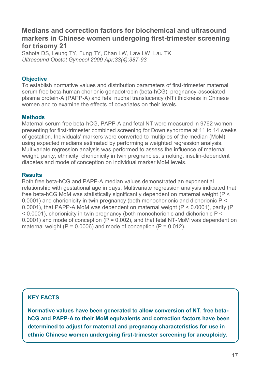## **Medians and correction factors for biochemical and ultrasound markers in Chinese women undergoing first-trimester screening for trisomy 21**

Sahota DS, Leung TY, Fung TY, Chan LW, Law LW, Lau TK *Ultrasound Obstet Gynecol 2009 Apr;33(4):387-93*

#### **Objective**

To establish normative values and distribution parameters of first-trimester maternal serum free beta-human chorionic gonadotropin (beta-hCG), pregnancy-associated plasma protein-A (PAPP-A) and fetal nuchal translucency (NT) thickness in Chinese women and to examine the effects of covariates on their levels.

#### **Methods**

Maternal serum free beta-hCG, PAPP-A and fetal NT were measured in 9762 women presenting for first-trimester combined screening for Down syndrome at 11 to 14 weeks of gestation. Individuals' markers were converted to multiples of the median (MoM) using expected medians estimated by performing a weighted regression analysis. Multivariate regression analysis was performed to assess the influence of maternal weight, parity, ethnicity, chorionicity in twin pregnancies, smoking, insulin-dependent diabetes and mode of conception on individual marker MoM levels.

#### **Results**

Both free beta-hCG and PAPP-A median values demonstrated an exponential relationship with gestational age in days. Multivariate regression analysis indicated that free beta-hCG MoM was statistically significantly dependent on maternal weight (P < 0.0001) and chorionicity in twin pregnancy (both monochorionic and dichorionic P < 0.0001), that PAPP-A MoM was dependent on maternal weight (P < 0.0001), parity (P < 0.0001), chorionicity in twin pregnancy (both monochorionic and dichorionic P < 0.0001) and mode of conception  $(P = 0.002)$ , and that fetal NT-MoM was dependent on maternal weight ( $P = 0.0006$ ) and mode of conception ( $P = 0.012$ ).

## **KEY FACTS**

**Normative values have been generated to allow conversion of NT, free betahCG and PAPP-A to their MoM equivalents and correction factors have been determined to adjust for maternal and pregnancy characteristics for use in ethnic Chinese women undergoing first-trimester screening for aneuploidy.**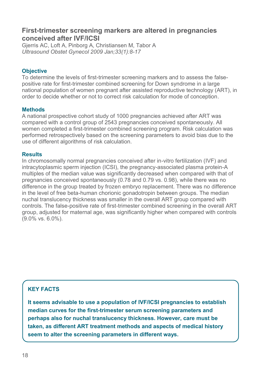## **First-trimester screening markers are altered in pregnancies conceived after IVF/ICSI**

Gjerris AC, Loft A, Pinborg A, Christiansen M, Tabor A *Ultrasound Obstet Gynecol 2009 Jan;33(1):8-17*

#### **Objective**

To determine the levels of first-trimester screening markers and to assess the falsepositive rate for first-trimester combined screening for Down syndrome in a large national population of women pregnant after assisted reproductive technology (ART), in order to decide whether or not to correct risk calculation for mode of conception.

#### **Methods**

A national prospective cohort study of 1000 pregnancies achieved after ART was compared with a control group of 2543 pregnancies conceived spontaneously. All women completed a first-trimester combined screening program. Risk calculation was performed retrospectively based on the screening parameters to avoid bias due to the use of different algorithms of risk calculation.

#### **Results**

In chromosomally normal pregnancies conceived after in-vitro fertilization (IVF) and intracytoplasmic sperm injection (ICSI), the pregnancy-associated plasma protein-A multiples of the median value was significantly decreased when compared with that of pregnancies conceived spontaneously (0.78 and 0.79 vs. 0.98), while there was no difference in the group treated by frozen embryo replacement. There was no difference in the level of free beta-human chorionic gonadotropin between groups. The median nuchal translucency thickness was smaller in the overall ART group compared with controls. The false-positive rate of first-trimester combined screening in the overall ART group, adjusted for maternal age, was significantly higher when compared with controls (9.0% vs. 6.0%).

## **KEY FACTS**

**It seems advisable to use a population of IVF/ICSI pregnancies to establish median curves for the first-trimester serum screening parameters and perhaps also for nuchal translucency thickness. However, care must be taken, as different ART treatment methods and aspects of medical history seem to alter the screening parameters in different ways.**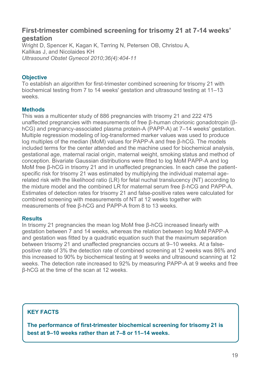## **First-trimester combined screening for trisomy 21 at 7-14 weeks' gestation**

Wright D, Spencer K, Kagan K, Tørring N, Petersen OB, Christou A, Kallikas J, and Nicolaides KH *Ultrasound Obstet Gynecol 2010;36(4):404-11*

#### **Objective**

To establish an algorithm for first-trimester combined screening for trisomy 21 with biochemical testing from 7 to 14 weeks' gestation and ultrasound testing at 11–13 weeks.

#### **Methods**

This was a multicenter study of 886 pregnancies with trisomy 21 and 222 475 unaffected pregnancies with measurements of free β-human chorionic gonadotropin (βhCG) and pregnancy-associated plasma protein-A (PAPP-A) at 7–14 weeks' gestation. Multiple regression modeling of log-transformed marker values was used to produce log multiples of the median (MoM) values for PAPP-A and free β-hCG. The models included terms for the center attended and the machine used for biochemical analysis, gestational age, maternal racial origin, maternal weight, smoking status and method of conception. Bivariate Gaussian distributions were fitted to log MoM PAPP-A and log MoM free β-hCG in trisomy 21 and in unaffected pregnancies. In each case the patientspecific risk for trisomy 21 was estimated by multiplying the individual maternal agerelated risk with the likelihood ratio (LR) for fetal nuchal translucency (NT) according to the mixture model and the combined LR for maternal serum free β-hCG and PAPP-A. Estimates of detection rates for trisomy 21 and false-positive rates were calculated for combined screening with measurements of NT at 12 weeks together with measurements of free β-hCG and PAPP-A from 8 to 13 weeks.

#### **Results**

In trisomy 21 pregnancies the mean log MoM free β-hCG increased linearly with gestation between 7 and 14 weeks, whereas the relation between log MoM PAPP-A and gestation was fitted by a quadratic equation such that the maximum separation between trisomy 21 and unaffected pregnancies occurs at 9–10 weeks. At a falsepositive rate of 3% the detection rate of combined screening at 12 weeks was 86% and this increased to 90% by biochemical testing at 9 weeks and ultrasound scanning at 12 weeks. The detection rate increased to 92% by measuring PAPP-A at 9 weeks and free β-hCG at the time of the scan at 12 weeks.

## **KEY FACTS**

**The performance of first-trimester biochemical screening for trisomy 21 is best at 9–10 weeks rather than at 7–8 or 11–14 weeks.**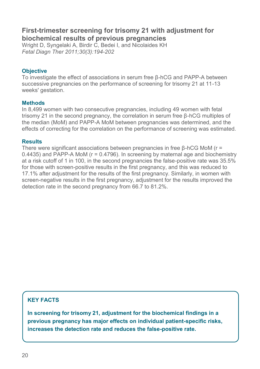## **First-trimester screening for trisomy 21 with adjustment for biochemical results of previous pregnancies**

Wright D, Syngelaki A, Birdir C, Bedei I, and Nicolaides KH *Fetal Diagn Ther 2011;30(3):194-202*

#### **Objective**

To investigate the effect of associations in serum free β-hCG and PAPP-A between successive pregnancies on the performance of screening for trisomy 21 at 11-13 weeks' gestation.

#### **Methods**

In 8,499 women with two consecutive pregnancies, including 49 women with fetal trisomy 21 in the second pregnancy, the correlation in serum free β-hCG multiples of the median (MoM) and PAPP-A MoM between pregnancies was determined, and the effects of correcting for the correlation on the performance of screening was estimated.

#### **Results**

There were significant associations between pregnancies in free  $\beta$ -hCG MoM (r = 0.4435) and PAPP-A MoM ( $r = 0.4796$ ). In screening by maternal age and biochemistry at a risk cutoff of 1 in 100, in the second pregnancies the false-positive rate was 35.5% for those with screen-positive results in the first pregnancy, and this was reduced to 17.1% after adjustment for the results of the first pregnancy. Similarly, in women with screen-negative results in the first pregnancy, adjustment for the results improved the detection rate in the second pregnancy from 66.7 to 81.2%.

## **KEY FACTS**

**In screening for trisomy 21, adjustment for the biochemical findings in a previous pregnancy has major effects on individual patient-specific risks, increases the detection rate and reduces the false-positive rate.**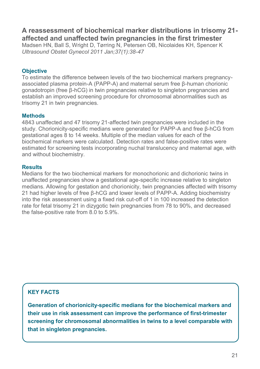## **A reassessment of biochemical marker distributions in trisomy 21 affected and unaffected twin pregnancies in the first trimester**

Madsen HN, Ball S, Wright D, Tørring N, Petersen OB, Nicolaides KH, Spencer K *Ultrasound Obstet Gynecol 2011 Jan;37(1):38-47*

#### **Objective**

To estimate the difference between levels of the two biochemical markers pregnancyassociated plasma protein-A (PAPP-A) and maternal serum free β-human chorionic gonadotropin (free β-hCG) in twin pregnancies relative to singleton pregnancies and establish an improved screening procedure for chromosomal abnormalities such as trisomy 21 in twin pregnancies.

#### **Methods**

4843 unaffected and 47 trisomy 21-affected twin pregnancies were included in the study. Chorionicity-specific medians were generated for PAPP-A and free β-hCG from gestational ages 8 to 14 weeks. Multiple of the median values for each of the biochemical markers were calculated. Detection rates and false-positive rates were estimated for screening tests incorporating nuchal translucency and maternal age, with and without biochemistry.

#### **Results**

Medians for the two biochemical markers for monochorionic and dichorionic twins in unaffected pregnancies show a gestational age-specific increase relative to singleton medians. Allowing for gestation and chorionicity, twin pregnancies affected with trisomy 21 had higher levels of free β-hCG and lower levels of PAPP-A. Adding biochemistry into the risk assessment using a fixed risk cut-off of 1 in 100 increased the detection rate for fetal trisomy 21 in dizygotic twin pregnancies from 78 to 90%, and decreased the false-positive rate from 8.0 to 5.9%.

## **KEY FACTS**

**Generation of chorionicity-specific medians for the biochemical markers and their use in risk assessment can improve the performance of first-trimester screening for chromosomal abnormalities in twins to a level comparable with that in singleton pregnancies.**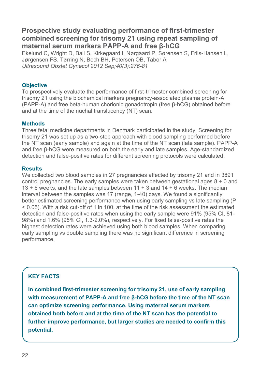## **Prospective study evaluating performance of first-trimester combined screening for trisomy 21 using repeat sampling of maternal serum markers PAPP-A and free β-hCG**

Ekelund C, Wright D, Ball S, Kirkegaard I, Nørgaard P, Sørensen S, Friis-Hansen L, Jørgensen FS, Tørring N, Bech BH, Petersen OB, Tabor A *Ultrasound Obstet Gynecol 2012 Sep;40(3):276-81*

#### **Objective**

To prospectively evaluate the performance of first-trimester combined screening for trisomy 21 using the biochemical markers pregnancy-associated plasma protein-A (PAPP-A) and free beta-human chorionic gonadotropin (free β-hCG) obtained before and at the time of the nuchal translucency (NT) scan.

#### **Methods**

Three fetal medicine departments in Denmark participated in the study. Screening for trisomy 21 was set up as a two-step approach with blood sampling performed before the NT scan (early sample) and again at the time of the NT scan (late sample). PAPP-A and free β-hCG were measured on both the early and late samples. Age-standardized detection and false-positive rates for different screening protocols were calculated.

#### **Results**

We collected two blood samples in 27 pregnancies affected by trisomy 21 and in 3891 control pregnancies. The early samples were taken between gestational ages  $8 + 0$  and 13 + 6 weeks, and the late samples between 11 + 3 and 14 + 6 weeks. The median interval between the samples was 17 (range, 1-40) days. We found a significantly better estimated screening performance when using early sampling vs late sampling (P) < 0.05). With a risk cut-off of 1 in 100, at the time of the risk assessment the estimated detection and false-positive rates when using the early sample were 91% (95% CI, 81- 98%) and 1.6% (95% CI, 1.3-2.0%), respectively. For fixed false-positive rates the highest detection rates were achieved using both blood samples. When comparing early sampling vs double sampling there was no significant difference in screening performance.

## **KEY FACTS**

**In combined first-trimester screening for trisomy 21, use of early sampling with measurement of PAPP-A and free β-hCG before the time of the NT scan can optimize screening performance. Using maternal serum markers obtained both before and at the time of the NT scan has the potential to further improve performance, but larger studies are needed to confirm this potential.**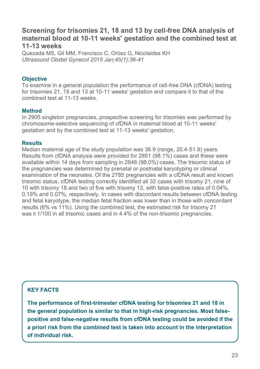## **Screening for trisomies 21, 18 and 13 by cell-free DNA analysis of maternal blood at 10-11 weeks' gestation and the combined test at 11-13 weeks**

Quezada MS, Gil MM, Francisco C, Oròsz G, Nicolaides KH *Ultrasound Obstet Gynecol 2015 Jan;45(1):36-41*

#### **Objective**

To examine in a general population the performance of cell-free DNA (cfDNA) testing for trisomies 21, 18 and 13 at 10-11 weeks' gestation and compare it to that of the combined test at 11-13 weeks.

#### **Method**

In 2905 singleton pregnancies, prospective screening for trisomies was performed by chromosome-selective sequencing of cfDNA in maternal blood at 10-11 weeks' gestation and by the combined test at 11-13 weeks' gestation.

#### **Results**

Median maternal age of the study population was 36.9 (range, 20.4-51.9) years. Results from cfDNA analysis were provided for 2851 (98.1%) cases and these were available within 14 days from sampling in 2848 (98.0%) cases. The trisomic status of the pregnancies was determined by prenatal or postnatal karyotyping or clinical examination of the neonates. Of the 2785 pregnancies with a cfDNA result and known trisomic status, cfDNA testing correctly identified all 32 cases with trisomy 21, nine of 10 with trisomy 18 and two of five with trisomy 13, with false-positive rates of 0.04%, 0.19% and 0.07%, respectively. In cases with discordant results between cfDNA testing and fetal karyotype, the median fetal fraction was lower than in those with concordant results (6% vs 11%). Using the combined test, the estimated risk for trisomy 21 was ≥ 1/100 in all trisomic cases and in 4.4% of the non-trisomic pregnancies.

## **KEY FACTS**

**The performance of first-trimester cfDNA testing for trisomies 21 and 18 in the general population is similar to that in high-risk pregnancies. Most falsepositive and false-negative results from cfDNA testing could be avoided if the a priori risk from the combined test is taken into account in the interpretation of individual risk.**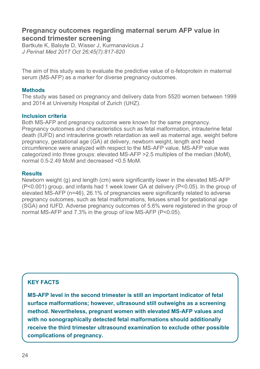## **Pregnancy outcomes regarding maternal serum AFP value in second trimester screening**

Bartkute K, Balsyte D, Wisser J, Kurmanavicius J *J Perinat Med 2017 Oct 26;45(7):817-820*

The aim of this study was to evaluate the predictive value of  $\alpha$ -fetoprotein in maternal serum (MS-AFP) as a marker for diverse pregnancy outcomes.

#### **Methods**

The study was based on pregnancy and delivery data from 5520 women between 1999 and 2014 at University Hospital of Zurich (UHZ).

#### **Inclusion criteria**

Both MS-AFP and pregnancy outcome were known for the same pregnancy. Pregnancy outcomes and characteristics such as fetal malformation, intrauterine fetal death (IUFD) and intrauterine growth retardation as well as maternal age, weight before pregnancy, gestational age (GA) at delivery, newborn weight, length and head circumference were analyzed with respect to the MS-AFP value. MS-AFP value was categorized into three groups: elevated MS-AFP >2.5 multiples of the median (MoM), normal 0.5-2.49 MoM and decreased <0.5 MoM.

#### **Results**

Newborn weight (g) and length (cm) were significantly lower in the elevated MS-AFP (P<0.001) group, and infants had 1 week lower GA at delivery (P<0.05). In the group of elevated MS-AFP (n=46), 26.1% of pregnancies were significantly related to adverse pregnancy outcomes, such as fetal malformations, fetuses small for gestational age (SGA) and IUFD. Adverse pregnancy outcomes of 5.6% were registered in the group of normal MS-AFP and 7.3% in the group of low MS-AFP (P<0.05).

## **KEY FACTS**

**MS-AFP level in the second trimester is still an important indicator of fetal surface malformations; however, ultrasound still outweighs as a screening method. Nevertheless, pregnant women with elevated MS-AFP values and with no sonographically detected fetal malformations should additionally receive the third trimester ultrasound examination to exclude other possible complications of pregnancy.**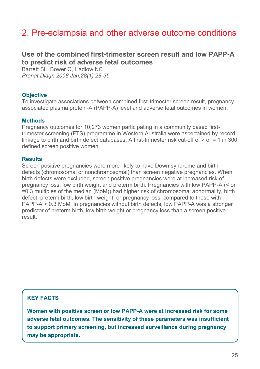## 2. Pre-eclampsia and other adverse outcome conditions

## **Use of the combined first-trimester screen result and low PAPP-A to predict risk of adverse fetal outcomes**

Barrett SL, Bower C, Hadlow NC *Prenat Diagn 2008 Jan;28(1):28-35*

#### **Objective**

To investigate associations between combined first-trimester screen result, pregnancy associated plasma protein-A (PAPP-A) level and adverse fetal outcomes in women.

#### **Methods**

Pregnancy outcomes for 10,273 women participating in a community based firsttrimester screening (FTS) programme in Western Australia were ascertained by record linkage to birth and birth defect databases. A first-trimester risk cut-off of  $>$  or  $=$  1 in 300 defined screen positive women.

#### **Results**

Screen positive pregnancies were more likely to have Down syndrome and birth defects (chromosomal or nonchromosomal) than screen negative pregnancies. When birth defects were excluded, screen positive pregnancies were at increased risk of pregnancy loss, low birth weight and preterm birth. Pregnancies with low PAPP-A (< or =0.3 multiples of the median (MoM)) had higher risk of chromosomal abnormality, birth defect, preterm birth, low birth weight, or pregnancy loss, compared to those with PAPP-A > 0.3 MoM. In pregnancies without birth defects, low PAPP-A was a stronger predictor of preterm birth, low birth weight or pregnancy loss than a screen positive result.

## **KEY FACTS**

**Women with positive screen or low PAPP-A were at increased risk for some adverse fetal outcomes. The sensitivity of these parameters was insufficient to support primary screening, but increased surveillance during pregnancy may be appropriate.**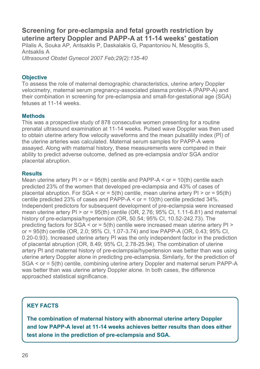## **Screening for pre-eclampsia and fetal growth restriction by uterine artery Doppler and PAPP-A at 11-14 weeks' gestation**

Pilalis A, Souka AP, Antsaklis P, Daskalakis G, Papantoniou N, Mesogitis S, Antsaklis A *Ultrasound Obstet Gynecol 2007 Feb;29(2):135-40*

**Objective** 

To assess the role of maternal demographic characteristics, uterine artery Doppler velocimetry, maternal serum pregnancy-associated plasma protein-A (PAPP-A) and their combination in screening for pre-eclampsia and small-for-gestational age (SGA) fetuses at 11-14 weeks.

#### **Methods**

This was a prospective study of 878 consecutive women presenting for a routine prenatal ultrasound examination at 11-14 weeks. Pulsed wave Doppler was then used to obtain uterine artery flow velocity waveforms and the mean pulsatility index (PI) of the uterine arteries was calculated. Maternal serum samples for PAPP-A were assayed. Along with maternal history, these measurements were compared in their ability to predict adverse outcome, defined as pre-eclampsia and/or SGA and/or placental abruption.

#### **Results**

Mean uterine artery  $PI > or = 95$ (th) centile and PAPP-A  $\le$  or = 10(th) centile each predicted 23% of the women that developed pre-eclampsia and 43% of cases of placental abruption. For  $SGA \leq \text{or} = 5(\text{th})$  centile, mean uterine artery  $PI \geq \text{or} = 95(\text{th})$ centile predicted 23% of cases and PAPP-A < or = 10(th) centile predicted 34%. Independent predictors for subsequent development of pre-eclampsia were increased mean uterine artery  $PI > or = 95$ (th) centile (OR, 2.76; 95% Cl, 1.11-6.81) and maternal history of pre-eclampsia/hypertension (OR, 50.54; 95% CI, 10.52-242.73). The predicting factors for  $SGA \leq 0$  =  $5$ (th) centile were increased mean uterine artery PI > or = 95(th) centile (OR, 2.0; 95% CI, 1.07-3.74) and low PAPP-A (OR, 0.43; 95% CI, 0.20-0.93). Increased uterine artery PI was the only independent factor in the prediction of placental abruption (OR, 8.49; 95% CI, 2.78-25.94). The combination of uterine artery PI and maternal history of pre-eclampsia/hypertension was better than was using uterine artery Doppler alone in predicting pre-eclampsia. Similarly, for the prediction of SGA < or = 5(th) centile, combining uterine artery Doppler and maternal serum PAPP-A was better than was uterine artery Doppler alone. In both cases, the difference approached statistical significance.

## **KEY FACTS**

**The combination of maternal history with abnormal uterine artery Doppler and low PAPP-A level at 11-14 weeks achieves better results than does either test alone in the prediction of pre-eclampsia and SGA.**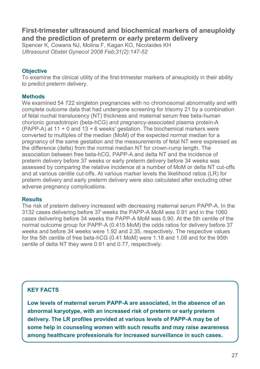## **First-trimester ultrasound and biochemical markers of aneuploidy and the prediction of preterm or early preterm delivery**

Spencer K, Cowans NJ, Molina F, Kagan KO, Nicolaides KH *Ultrasound Obstet Gynecol 2008 Feb;31(2):147-52*

#### **Objective**

To examine the clinical utility of the first-trimester markers of aneuploidy in their ability to predict preterm delivery.

#### **Methods**

We examined 54 722 singleton pregnancies with no chromosomal abnormality and with complete outcome data that had undergone screening for trisomy 21 by a combination of fetal nuchal translucency (NT) thickness and maternal serum free beta-human chorionic gonadotropin (beta-hCG) and pregnancy-associated plasma protein-A (PAPP-A) at 11 + 0 and 13 + 6 weeks' gestation. The biochemical markers were converted to multiples of the median (MoM) of the expected normal median for a pregnancy of the same gestation and the measurements of fetal NT were expressed as the difference (delta) from the normal median NT for crown-rump length. The association between free beta-hCG, PAPP-A and delta NT and the incidence of preterm delivery before 37 weeks or early preterm delivery before 34 weeks was assessed by comparing the relative incidence at a number of MoM or delta NT cut-offs and at various centile cut-offs. At various marker levels the likelihood ratios (LR) for preterm delivery and early preterm delivery were also calculated after excluding other adverse pregnancy complications.

#### **Results**

The risk of preterm delivery increased with decreasing maternal serum PAPP-A. In the 3132 cases delivering before 37 weeks the PAPP-A MoM was 0.91 and in the 1060 cases delivering before 34 weeks the PAPP-A MoM was 0.90. At the 5th centile of the normal outcome group for PAPP-A (0.415 MoM) the odds ratios for delivery before 37 weeks and before 34 weeks were 1.92 and 2.35, respectively. The respective values for the 5th centile of free beta-hCG (0.41 MoM) were 1.18 and 1.08 and for the 95th centile of delta NT they were 0.91 and 0.77, respectively.

## **KEY FACTS**

**Low levels of maternal serum PAPP-A are associated, in the absence of an abnormal karyotype, with an increased risk of preterm or early preterm delivery. The LR profiles provided at various levels of PAPP-A may be of some help in counseling women with such results and may raise awareness among healthcare professionals for increased surveillance in such cases.**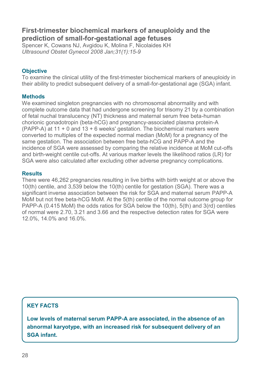## **First-trimester biochemical markers of aneuploidy and the prediction of small-for-gestational age fetuses**

Spencer K, Cowans NJ, Avgidou K, Molina F, Nicolaides KH *Ultrasound Obstet Gynecol 2008 Jan;31(1):15-9* 

#### **Objective**

To examine the clinical utility of the first-trimester biochemical markers of aneuploidy in their ability to predict subsequent delivery of a small-for-gestational age (SGA) infant.

#### **Methods**

We examined singleton pregnancies with no chromosomal abnormality and with complete outcome data that had undergone screening for trisomy 21 by a combination of fetal nuchal translucency (NT) thickness and maternal serum free beta-human chorionic gonadotropin (beta-hCG) and pregnancy-associated plasma protein-A (PAPP-A) at 11 + 0 and 13 + 6 weeks' gestation. The biochemical markers were converted to multiples of the expected normal median (MoM) for a pregnancy of the same gestation. The association between free beta-hCG and PAPP-A and the incidence of SGA were assessed by comparing the relative incidence at MoM cut-offs and birth-weight centile cut-offs. At various marker levels the likelihood ratios (LR) for SGA were also calculated after excluding other adverse pregnancy complications.

#### **Results**

There were 46,262 pregnancies resulting in live births with birth weight at or above the 10(th) centile, and 3,539 below the 10(th) centile for gestation (SGA). There was a significant inverse association between the risk for SGA and maternal serum PAPP-A MoM but not free beta-hCG MoM. At the 5(th) centile of the normal outcome group for PAPP-A (0.415 MoM) the odds ratios for SGA below the 10(th), 5(th) and 3(rd) centiles of normal were 2.70, 3.21 and 3.66 and the respective detection rates for SGA were 12.0%, 14.0% and 16.0%.

## **KEY FACTS**

**Low levels of maternal serum PAPP-A are associated, in the absence of an abnormal karyotype, with an increased risk for subsequent delivery of an SGA infant.**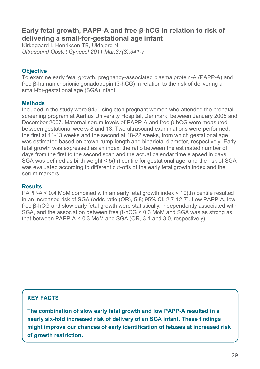## **Early fetal growth, PAPP-A and free β-hCG in relation to risk of delivering a small-for-gestational age infant**

Kirkegaard I, Henriksen TB, Uldbjerg N *Ultrasound Obstet Gynecol 2011 Mar;37(3):341-7* 

#### **Objective**

To examine early fetal growth, pregnancy-associated plasma protein-A (PAPP-A) and free β-human chorionic gonadotropin (β-hCG) in relation to the risk of delivering a small-for-gestational age (SGA) infant.

#### **Methods**

Included in the study were 9450 singleton pregnant women who attended the prenatal screening program at Aarhus University Hospital, Denmark, between January 2005 and December 2007. Maternal serum levels of PAPP-A and free β-hCG were measured between gestational weeks 8 and 13. Two ultrasound examinations were performed, the first at 11-13 weeks and the second at 18-22 weeks, from which gestational age was estimated based on crown-rump length and biparietal diameter, respectively. Early fetal growth was expressed as an index: the ratio between the estimated number of days from the first to the second scan and the actual calendar time elapsed in days. SGA was defined as birth weight < 5(th) centile for gestational age, and the risk of SGA was evaluated according to different cut-offs of the early fetal growth index and the serum markers.

#### **Results**

PAPP-A < 0.4 MoM combined with an early fetal growth index < 10(th) centile resulted in an increased risk of SGA (odds ratio (OR), 5.8; 95% CI, 2.7-12.7). Low PAPP-A, low free β-hCG and slow early fetal growth were statistically, independently associated with SGA, and the association between free β-hCG < 0.3 MoM and SGA was as strong as that between PAPP-A < 0.3 MoM and SGA (OR, 3.1 and 3.0, respectively).

## **KEY FACTS**

**The combination of slow early fetal growth and low PAPP-A resulted in a nearly six-fold increased risk of delivery of an SGA infant. These findings might improve our chances of early identification of fetuses at increased risk of growth restriction.**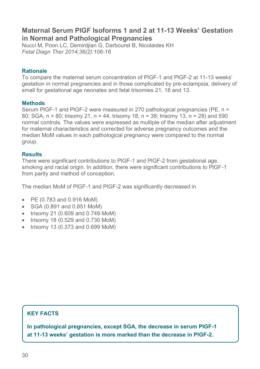## **Maternal Serum PlGF Isoforms 1 and 2 at 11-13 Weeks' Gestation in Normal and Pathological Pregnancies**

Nucci M, Poon LC, Demirdjian G, Darbouret B, Nicolaides KH *Fetal Diagn Ther 2014;36(2):106-16*

#### **Rationale**

To compare the maternal serum concentration of PlGF-1 and PlGF-2 at 11-13 weeks' gestation in normal pregnancies and in those complicated by pre-eclampsia, delivery of small for gestational age neonates and fetal trisomies 21, 18 and 13.

#### **Methods**

Serum PlGF-1 and PlGF-2 were measured in 270 pathological pregnancies (PE, n = 80; SGA, n = 80; trisomy 21, n = 44; trisomy 18, n = 38; trisomy 13, n = 28) and 590 normal controls. The values were expressed as multiple of the median after adjustment for maternal characteristics and corrected for adverse pregnancy outcomes and the median MoM values in each pathological pregnancy were compared to the normal group.

#### **Results**

There were significant contributions to PlGF-1 and PlGF-2 from gestational age, smoking and racial origin. In addition, there were significant contributions to PlGF-1 from parity and method of conception.

The median MoM of PlGF-1 and PlGF-2 was significantly decreased in

- PE (0.783 and 0.916 MoM)
- SGA (0.891 and 0.851 MoM)
- trisomy 21 (0.609 and 0.749 MoM)
- trisomy 18 (0.529 and 0.730 MoM)
- trisomy 13 (0.373 and 0.699 MoM)

## **KEY FACTS**

**In pathological pregnancies, except SGA, the decrease in serum PlGF-1 at 11-13 weeks' gestation is more marked than the decrease in PlGF-2.**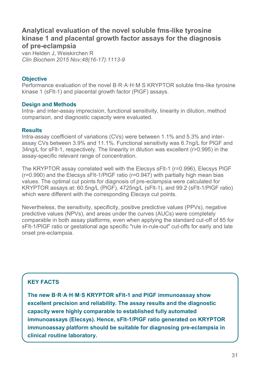## **Analytical evaluation of the novel soluble fms-like tyrosine kinase 1 and placental growth factor assays for the diagnosis of pre-eclampsia**

van Helden J, Weiskirchen R *Clin Biochem 2015 Nov;48(16-17):1113-9* 

#### **Objective**

Performance evaluation of the novel B·R·A·H·M·S KRYPTOR soluble fms-like tyrosine kinase 1 (sFlt-1) and placental growth factor (PlGF) assays.

#### **Design and Methods**

Intra- and inter-assay imprecision, functional sensitivity, linearity in dilution, method comparison, and diagnostic capacity were evaluated.

#### **Results**

Intra-assay coefficient of variations (CVs) were between 1.1% and 5.3% and interassay CVs between 3.9% and 11.1%. Functional sensitivity was 6.7ng/L for PlGF and 34ng/L for sFlt-1, respectively. The linearity in dilution was excellent (r>0.995) in the assay-specific relevant range of concentration.

The KRYPTOR assay correlated well with the Elecsys sFlt-1 (r=0.996), Elecsys PlGF (r=0.990) and the Elecsys sFlt-1/PlGF ratio (r=0.947) with partially high mean bias values. The optimal cut points for diagnosis of pre-eclampsia were calculated for KRYPTOR assays at: 60.5ng/L (PlGF), 4725ng/L (sFlt-1), and 99.2 (sFlt-1/PlGF ratio) which were different with the corresponding Elecsys cut points.

Nevertheless, the sensitivity, specificity, positive predictive values (PPVs), negative predictive values (NPVs), and areas under the curves (AUCs) were completely comparable in both assay platforms, even when applying the standard cut-off of 85 for sFlt-1/PlGF ratio or gestational age specific "rule in-rule-out" cut-offs for early and late onset pre-eclampsia.

## **KEY FACTS**

**The new B·R·A·H·M·S KRYPTOR sFlt-1 and PlGF immunoassay show excellent precision and reliability. The assay results and the diagnostic capacity were highly comparable to established fully automated immunoassays (Elecsys). Hence, sFlt-1/PlGF ratio generated on KRYPTOR immunoassay platform should be suitable for diagnosing pre-eclampsia in clinical routine laboratory.**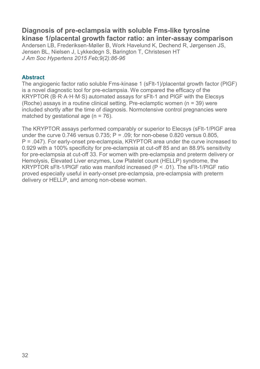## **Diagnosis of pre-eclampsia with soluble Fms-like tyrosine kinase 1/placental growth factor ratio: an inter-assay comparison**

Andersen LB, Frederiksen-Møller B, Work Havelund K, Dechend R, Jørgensen JS, Jensen BL, Nielsen J, Lykkedegn S, Barington T, Christesen HT *J Am Soc Hypertens 2015 Feb;9(2):86-96*

#### **Abstract**

The angiogenic factor ratio soluble Fms-kinase 1 (sFlt-1)/placental growth factor (PlGF) is a novel diagnostic tool for pre-eclampsia. We compared the efficacy of the KRYPTOR (B·R·A·H·M·S) automated assays for sFlt-1 and PlGF with the Elecsys (Roche) assays in a routine clinical setting. Pre-eclamptic women (n = 39) were included shortly after the time of diagnosis. Normotensive control pregnancies were matched by gestational age  $(n = 76)$ .

The KRYPTOR assays performed comparably or superior to Elecsys (sFlt-1/PlGF area under the curve  $0.746$  versus  $0.735$ ; P = .09; for non-obese  $0.820$  versus  $0.805$ . P = .047). For early-onset pre-eclampsia, KRYPTOR area under the curve increased to 0.929 with a 100% specificity for pre-eclampsia at cut-off 85 and an 88.9% sensitivity for pre-eclampsia at cut-off 33. For women with pre-eclampsia and preterm delivery or Hemolysis, Elevated Liver enzymes, Low Platelet count (HELLP) syndrome, the KRYPTOR sFlt-1/PlGF ratio was manifold increased (P < .01). The sFlt-1/PlGF ratio proved especially useful in early-onset pre-eclampsia, pre-eclampsia with preterm delivery or HELLP, and among non-obese women.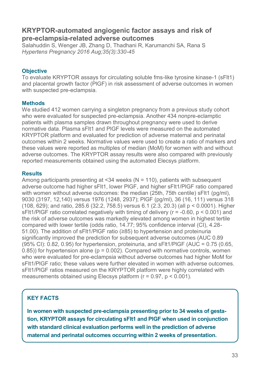## **KRYPTOR-automated angiogenic factor assays and risk of pre-eclampsia-related adverse outcomes**

Salahuddin S, Wenger JB, Zhang D, Thadhani R, Karumanchi SA, Rana S *Hypertens Pregnancy 2016 Aug;35(3):330-45*

#### **Objective**

To evaluate KRYPTOR assays for circulating soluble fms-like tyrosine kinase-1 (sFlt1) and placental growth factor (PlGF) in risk assessment of adverse outcomes in women with suspected pre-eclampsia.

#### **Methods**

We studied 412 women carrying a singleton pregnancy from a previous study cohort who were evaluated for suspected pre-eclampsia. Another 434 nonpre-eclamptic patients with plasma samples drawn throughout pregnancy were used to derive normative data. Plasma sFlt1 and PlGF levels were measured on the automated KRYPTOR platform and evaluated for prediction of adverse maternal and perinatal outcomes within 2 weeks. Normative values were used to create a ratio of markers and these values were reported as multiples of median (MoM) for women with and without adverse outcomes. The KRYPTOR assay results were also compared with previously reported measurements obtained using the automated Elecsys platform.

#### **Results**

Among participants presenting at  $<34$  weeks ( $N = 110$ ), patients with subsequent adverse outcome had higher sFlt1, lower PlGF, and higher sFlt1/PlGF ratio compared with women without adverse outcomes: the median (25th, 75th centile) sFlt1 (pg/ml), 9030 (3197, 12,140) versus 1976 (1248, 2937); PlGF (pg/ml), 36 (16, 111) versus 318 (108, 629); and ratio, 285.6 (32.2, 758.5) versus 6.1 (2.3, 20.3) (all p < 0.0001). Higher sFlt1/PlGF ratio correlated negatively with timing of delivery (r = -0.60, p < 0.001) and the risk of adverse outcomes was markedly elevated among women in highest tertile compared with lower tertile (odds ratio, 14.77; 95% confidence interval (CI), 4.28- 51.00). The addition of sFlt1/PlGF ratio (≥85) to hypertension and proteinuria significantly improved the prediction for subsequent adverse outcomes (AUC 0.89  $(95\% \text{ Cl})$ : 0.82, 0.95) for hypertension, proteinuria, and sFIt1/PIGF (AUC = 0.75 (0.65,  $(0.85)$ ) for hypertension alone ( $p = 0.002$ ). Compared with normative controls, women who were evaluated for pre-eclampsia without adverse outcomes had higher MoM for sFlt1/PlGF ratio; these values were further elevated in women with adverse outcomes. sFlt1/PlGF ratios measured on the KRYPTOR platform were highly correlated with measurements obtained using Elecsys platform  $(r = 0.97, p < 0.001)$ .

## **KEY FACTS**

**In women with suspected pre-eclampsia presenting prior to 34 weeks of gestation, KRYPTOR assays for circulating sFlt1 and PlGF when used in conjunction with standard clinical evaluation performs well in the prediction of adverse maternal and perinatal outcomes occurring within 2 weeks of presentation.**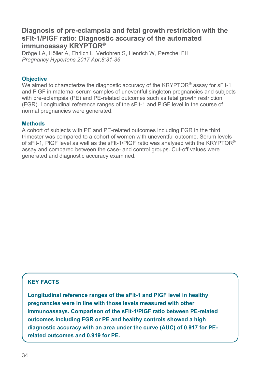## **Diagnosis of pre-eclampsia and fetal growth restriction with the sFlt-1/PlGF ratio: Diagnostic accuracy of the automated immunoassay KRYPTOR®**

Dröge LA, Höller A, Ehrlich L, Verlohren S, Henrich W, Perschel FH *Pregnancy Hypertens 2017 Apr;8:31-36*

#### **Objective**

We aimed to characterize the diagnostic accuracy of the KRYPTOR® assay for sFlt-1 and PlGF in maternal serum samples of uneventful singleton pregnancies and subjects with pre-eclampsia (PE) and PE-related outcomes such as fetal growth restriction (FGR). Longitudinal reference ranges of the sFlt-1 and PlGF level in the course of normal pregnancies were generated.

#### **Methods**

A cohort of subjects with PE and PE-related outcomes including FGR in the third trimester was compared to a cohort of women with uneventful outcome. Serum levels of sFlt-1, PlGF level as well as the sFlt-1/PlGF ratio was analysed with the KRYPTOR® assay and compared between the case- and control groups. Cut-off values were generated and diagnostic accuracy examined.

## **KEY FACTS**

**Longitudinal reference ranges of the sFlt-1 and PlGF level in healthy pregnancies were in line with those levels measured with other immunoassays. Comparison of the sFlt-1/PlGF ratio between PE-related outcomes including FGR or PE and healthy controls showed a high diagnostic accuracy with an area under the curve (AUC) of 0.917 for PErelated outcomes and 0.919 for PE.**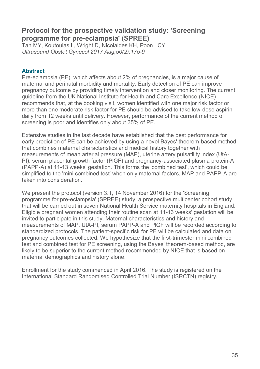## **Protocol for the prospective validation study: 'Screening programme for pre-eclampsia' (SPREE)**

Tan MY, Koutoulas L, Wright D, Nicolaides KH, Poon LCY *Ultrasound Obstet Gynecol 2017 Aug;50(2):175-9* 

#### **Abstract**

Pre-eclampsia (PE), which affects about 2% of pregnancies, is a major cause of maternal and perinatal morbidity and mortality. Early detection of PE can improve pregnancy outcome by providing timely intervention and closer monitoring. The current guideline from the UK National Institute for Health and Care Excellence (NICE) recommends that, at the booking visit, women identified with one major risk factor or more than one moderate risk factor for PE should be advised to take low-dose aspirin daily from 12 weeks until delivery. However, performance of the current method of screening is poor and identifies only about 35% of PE.

Extensive studies in the last decade have established that the best performance for early prediction of PE can be achieved by using a novel Bayes' theorem-based method that combines maternal characteristics and medical history together with measurements of mean arterial pressure (MAP), uterine artery pulsatility index (UtA-PI), serum placental growth factor (PlGF) and pregnancy-associated plasma protein-A (PAPP-A) at 11-13 weeks' gestation. This forms the 'combined test', which could be simplified to the 'mini combined test' when only maternal factors, MAP and PAPP-A are taken into consideration.

We present the protocol (version 3.1, 14 November 2016) for the 'Screening programme for pre-eclampsia' (SPREE) study, a prospective multicenter cohort study that will be carried out in seven National Health Service maternity hospitals in England. Eligible pregnant women attending their routine scan at 11-13 weeks' gestation will be invited to participate in this study. Maternal characteristics and history and measurements of MAP, UtA-PI, serum PAPP-A and PlGF will be recorded according to standardized protocols. The patient-specific risk for PE will be calculated and data on pregnancy outcomes collected. We hypothesize that the first-trimester mini combined test and combined test for PE screening, using the Bayes' theorem-based method, are likely to be superior to the current method recommended by NICE that is based on maternal demographics and history alone.

Enrollment for the study commenced in April 2016. The study is registered on the International Standard Randomised Controlled Trial Number (ISRCTN) registry.